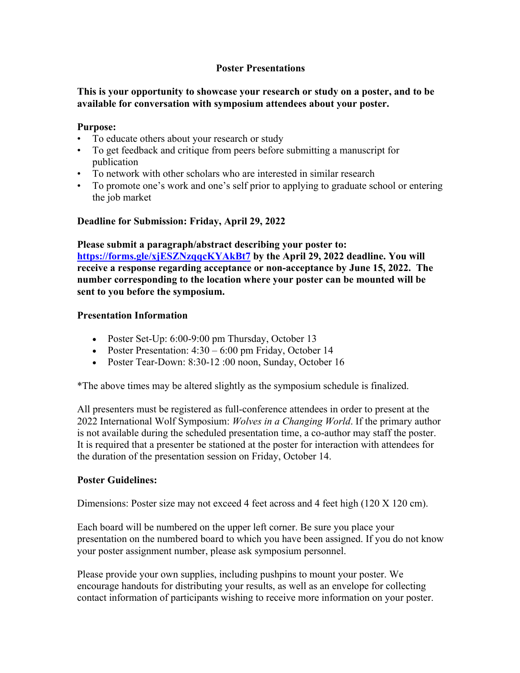#### **Poster Presentations**

### **This is your opportunity to showcase your research or study on a poster, and to be available for conversation with symposium attendees about your poster.**

#### **Purpose:**

- To educate others about your research or study
- To get feedback and critique from peers before submitting a manuscript for publication
- To network with other scholars who are interested in similar research
- To promote one's work and one's self prior to applying to graduate school or entering the job market

#### **Deadline for Submission: Friday, April 29, 2022**

**Please submit a paragraph/abstract describing your poster to: https://forms.gle/xjESZNzqqcKYAkBt7 by the April 29, 2022 deadline. You will receive a response regarding acceptance or non-acceptance by June 15, 2022. The number corresponding to the location where your poster can be mounted will be sent to you before the symposium.** 

#### **Presentation Information**

- Poster Set-Up: 6:00-9:00 pm Thursday, October 13
- Poster Presentation:  $4:30 6:00$  pm Friday, October 14
- Poster Tear-Down: 8:30-12 :00 noon, Sunday, October 16

\*The above times may be altered slightly as the symposium schedule is finalized.

All presenters must be registered as full-conference attendees in order to present at the 2022 International Wolf Symposium: *Wolves in a Changing World*. If the primary author is not available during the scheduled presentation time, a co-author may staff the poster. It is required that a presenter be stationed at the poster for interaction with attendees for the duration of the presentation session on Friday, October 14.

#### **Poster Guidelines:**

Dimensions: Poster size may not exceed 4 feet across and 4 feet high (120 X 120 cm).

Each board will be numbered on the upper left corner. Be sure you place your presentation on the numbered board to which you have been assigned. If you do not know your poster assignment number, please ask symposium personnel.

Please provide your own supplies, including pushpins to mount your poster. We encourage handouts for distributing your results, as well as an envelope for collecting contact information of participants wishing to receive more information on your poster.